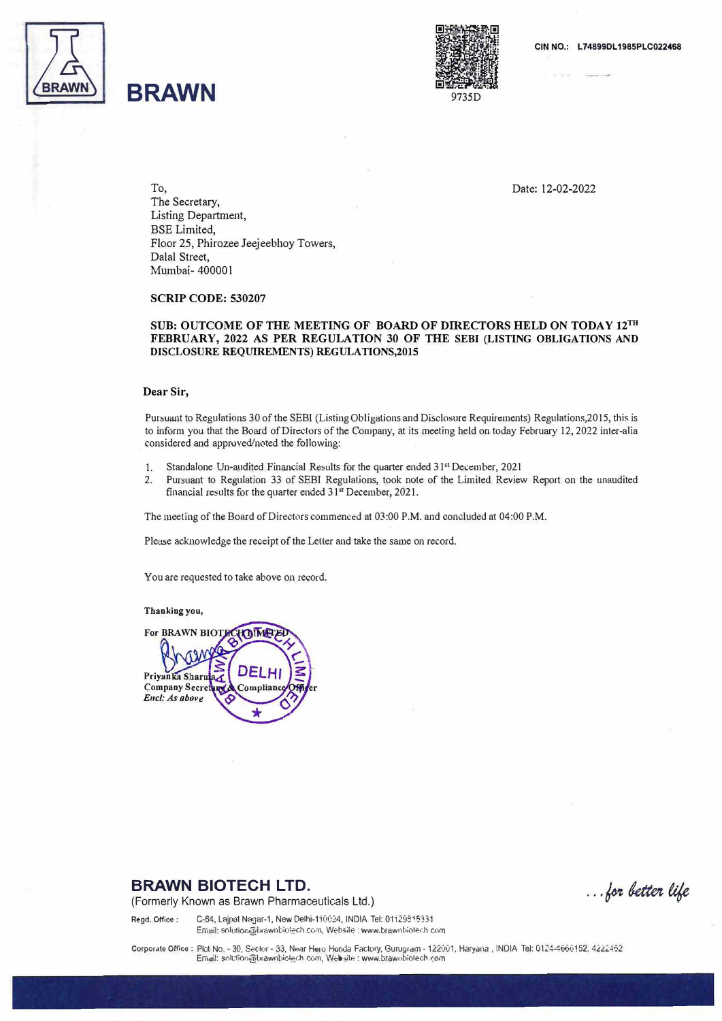

# **BRAWN**



To, Date: 12-02-2022 The Secretary, Listing Department, BSE Limited, Floor 25, Phirozee Jeejeebhoy Towers, Dalal Street, Mumbai- 400001

**SCRIP CODE: 530207** 

#### **SUB: OUTCOME OF THE MEETING OF BOARD OF DIRECTORS HELD ON TODAY 12m FEBRUARY, 2022 AS PER REGULATION 30 OF THE SEBI (LISTING OBLIGATIONS AND DISCLOSURE REQUIREMENTS) REGULATIONS,2015**

#### **Dear Sir,**

Pursuant to Regulations 30 of the SEBI (Listing Obligations and Disclosure Requirements) Regulations,2015, this is to inform you that the Board of Directors of the Company, at its meeting held on today February 12, 2022 inter-alia considered and approved/noted the following:

- 1. Standalone Un-audited Financial Results for the quarter ended 31<sup>st</sup> December, 2021
- 2. Pursuant to Regulation 33 of SEBI Regulations, took note of the Limited Review Report on the wiaudited financial results for the quarter ended 31<sup>st</sup> December, 2021.

The meeting of the Board of Directors commenced at 03:00 P.M. and concluded at 04:00 P.M.

Please acknowledge the receipt of the Lefler and take the same on record.

You are requested to take above on record.

**Thanking you,** 

**For BRAWN BIOT** HOIMH וחח **Priyanka Sharr Company Secret** omplian *E11cl:* **As** *abov*

### **BRAWN BIOTECH LTD.**

(Formerly Known as Brawn Pharmaceuticals Ltd.)

... for better life

Regd. Office: C-64, Lajpat Nagar-1, New Delhi-110024, INDIA Tel: 01129815331

Email: solution@brawnbiotech.com, Websile : www.brawnbiotech.com

Corporate Office: Plot No. - 30, Sector - 33, Near Hero Honda Factory, Gurugram - 122001, Haryana, INDIA Tel: 0124-4666152. 4222462 Email: solution@brawnbiotech com, Website : www.brawnbiotech.com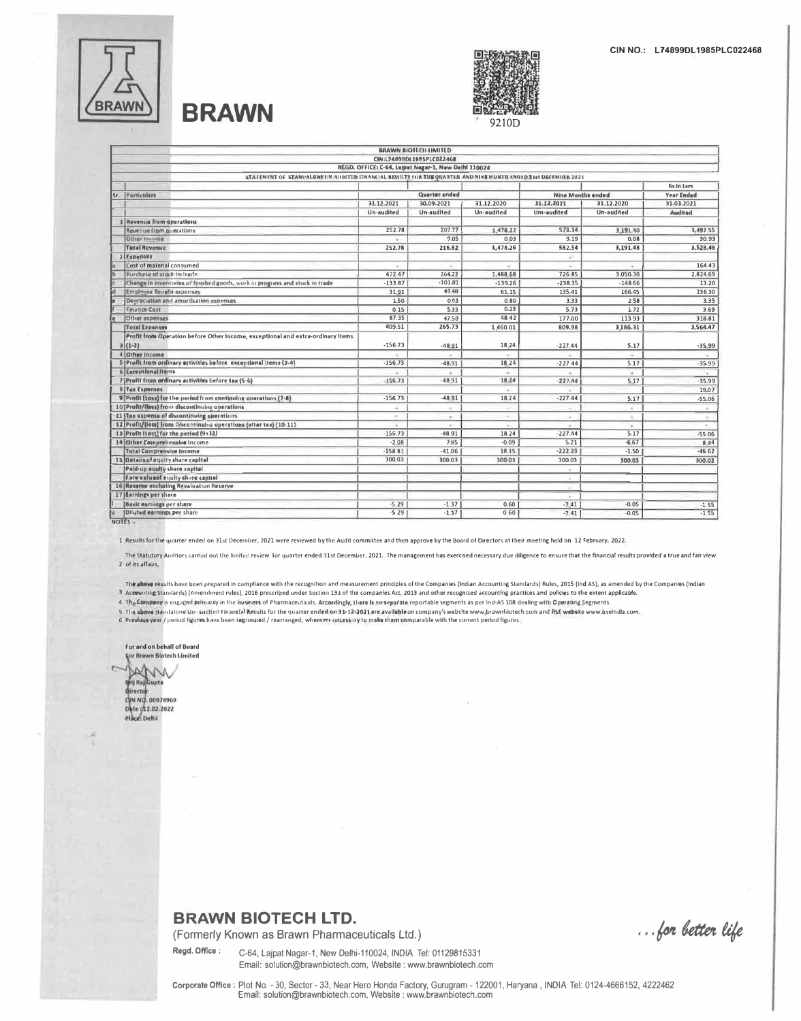

# **BRAWN**



|   |                                                                                                               |            | <b>BRAWN BILIELIS LIMILEU</b>                        |            |                                                                                                |               |                   |
|---|---------------------------------------------------------------------------------------------------------------|------------|------------------------------------------------------|------------|------------------------------------------------------------------------------------------------|---------------|-------------------|
|   |                                                                                                               |            | CIN:L74899DL1985PLC022468                            |            |                                                                                                |               |                   |
|   |                                                                                                               |            | REGD. OFFICE: C-64, Lajpat Negar-1, New Delhi 110024 |            |                                                                                                |               |                   |
|   | STATEMENT OF STANDALONE IIN ADDITED FINANCIAL RESULTS FOR THE QUARTIE AND NINK MONTH ENDED S IN DECEMBER 2021 |            |                                                      |            |                                                                                                |               |                   |
|   |                                                                                                               |            |                                                      |            |                                                                                                |               | <b>Relia Lacs</b> |
|   | Sr. Particulars                                                                                               |            | <b>Quarter</b> ended                                 |            | <b>Nine Months ended</b>                                                                       |               | Year Ended        |
|   |                                                                                                               | 31.12.2021 | 30.09.2021                                           | 31.12.2020 | 31.12.2021                                                                                     | 31.12.2020    | 31.03.2021        |
|   |                                                                                                               | Un-audited | Un-audited                                           | Un-audited | Um-audited                                                                                     | Un-audited    | <b>Audited</b>    |
|   | 1 Revenue from operations                                                                                     |            |                                                      |            |                                                                                                |               |                   |
|   | Revenue from guerations                                                                                       | 252.78     | 207.77                                               | 1.478.22   | 573.34                                                                                         | 3,191.40      | 3,497.55          |
|   | Other Income                                                                                                  |            | 9.05                                                 | 0.03       | 9.19                                                                                           | 0.08          | 30.93             |
|   | <b>Total Revenue</b>                                                                                          | 252.78     | 216.82                                               | 1,478.26   | 582.54                                                                                         | 3,191.48      | 3,528,48          |
|   | 2 Expenses                                                                                                    |            |                                                      |            |                                                                                                |               |                   |
|   | Cost of material consumed                                                                                     | ×.         |                                                      |            |                                                                                                | $\sim$        | 164.43            |
|   | Purchase of stock-in-trade                                                                                    | 422.47     | 264.22                                               | 1,488.68   | 726.85                                                                                         | 3.050.30      | 2,824.69          |
|   | Chenge in inventories of finished goods, work in progress and stock in trade                                  | $-133.87$  | $-101.81$                                            | $-139.26$  | $-238.35$                                                                                      | $-148.66$     | 13.20             |
| ď | <b>Employee Bonefit expenses</b>                                                                              | 3191       | 49.48                                                | 61.15      | 135.41                                                                                         | 166,45        | 236.30            |
|   | Depreciation and amurtisation expenses.                                                                       | 150        | 0.93                                                 | 0.80       | 3.33                                                                                           | 2.58          | 3,35              |
|   | <b>Finance Cost</b>                                                                                           | 0.15       | 5.33                                                 | 0.23       | 5.73                                                                                           | 1.72          | 3.69              |
|   | Other expenses                                                                                                | 87.35      | 47.58                                                | 48.42      | 177.00                                                                                         | 113.93        | 318.81            |
|   | <b>Total Expanses</b>                                                                                         | 409.51     | 265.73                                               | 1,460.01   | 809.98                                                                                         | 3,186.31      | 3,564.47          |
|   | Profit from Operation before Other Income, exceptional and extra-ordinary Items                               |            |                                                      |            |                                                                                                |               |                   |
|   | $3(1-2)$                                                                                                      | $-156.73$  | $-48.91$                                             | 18 24      | $-227.44$                                                                                      | 5.17          | $-35.99$          |
|   | 4 Other Income                                                                                                |            |                                                      |            |                                                                                                |               |                   |
|   | 5 Profit from ordinary activities before exceptional items (3.4).                                             | $-156.73$  | $-48.91$                                             | 18.24      | $-227.44$                                                                                      | 5.17          | $-35.99$          |
|   | 6 Exceptional Items                                                                                           |            |                                                      | $\sim$     |                                                                                                | $\sim$        | ia.               |
|   | 7 Profit from ordinary ectivities before tax (5-6)                                                            | $-156.73$  | $-48.91$                                             | 18.24      | $-227.44$                                                                                      | 5.17          | $-35.99$          |
|   | <b>8 Tax Expenses</b>                                                                                         |            |                                                      |            |                                                                                                |               | 19,07             |
|   | 9 Profit (Lose) for the period from continuing operations (7-8)                                               | $-156.73$  | $-4891$                                              | 18.24      | $-227.44$                                                                                      | 5.17          | $-55.06$          |
|   | 10 Profit/(loss) from discontinuing oberations                                                                | ÷          | $\sim$                                               |            |                                                                                                | $\sim$        | $\sim$            |
|   | 11 Tax expense of discontinuing operations                                                                    | $\sim$     | $\sim$                                               | $\sim$     | ×.                                                                                             | $\mathcal{L}$ | $\sim$            |
|   | 12 Profit/(loss) from Discontinuing operations (ofter tax) (10-11)                                            |            |                                                      |            |                                                                                                | $\sim$        |                   |
|   | 13 Profit (Lass) for the period (9+12)                                                                        | $-156.73$  | $-48.91$                                             | 18.24      | $-227.44$                                                                                      | 5.17          | $-55.06$          |
|   | 14 Other Comprehensive Income                                                                                 | $-2.08$    | 7.85                                                 | $-0.09$    | 5.21                                                                                           | $-6,67$       | 8 4 4             |
|   | <b>Total Comprensive Income</b>                                                                               | $-158.81$  | $-41.06$                                             | 18.15      | $-222.23$                                                                                      | $-1.50$       | $-46.62$          |
|   | 15 Details of equity share cupital                                                                            | 300.03     | 300.03                                               | 300.03     | 300.03                                                                                         | 300.03        | 80,008            |
|   | Paid-up equity share capital                                                                                  |            |                                                      |            | é.                                                                                             |               |                   |
|   | Face value of equity share capital                                                                            |            |                                                      |            | ÷.                                                                                             |               |                   |
|   | 16 Reserve excluding Revaluation Reserve                                                                      |            |                                                      |            | $\sim$                                                                                         |               |                   |
|   | 17 Earnings per shore                                                                                         |            |                                                      |            | $\frac{1}{2} \left( \frac{1}{2} \right) \left( \frac{1}{2} \right) \left( \frac{1}{2} \right)$ |               |                   |
|   | <b>Besic enroings per share</b>                                                                               | $-5.29$    | $-1.37$                                              | 0,60       | $-7.41$                                                                                        | $-0.05$       | $-1.55$           |
|   | <b>Diluted estrings per share</b>                                                                             | $-5.29$    | $-1.37$                                              | 0.60       | $-7.41$                                                                                        | $-0.05$       | $-1.55$           |
|   | NOTES:-                                                                                                       |            |                                                      |            |                                                                                                |               |                   |

1 Results for the quarter ended on 31st December, 2021 were reviewed by the Audit committee and then approve by the Board of Directors at their meeting held on 12 February, 2022.

The Statutory Auditors carried out the limited review for quarter ended 31st December, 2021. The management has exercised necessary due diligence to ensure that the financial results provided a true and fair view 2 of its affairs

The above results have been prepared in compliance with the recognition and measurement principles of the Companies (Indian Accounting Standards) Rules, 2015 (Ind AS), as amended by the Companies (Indian

3 Accounting Standards) (Amendment rules), 2016 prescribed under Section 133 of the companies Act, 2013 and other recognized accounting practices and policies to the extent applicable.

4 The Company is enguged primarily in the business of Pharmaceuticals. Accordingly, there is no separate reportable segments as per Ind-AS 108 dealing with Operating Segments.

5 The above Mandalone Un- availted Finantial Results for the quarter ended on 33-12-2021 are available on company's website www.brawnliotech.com and BSE website www.bseindla.com.

G Previous year / period figures have been regrouped / rearranged, wherever uncessary to make them comparable with the current period figures

For and on behalf of Board For Brawn Blotech Limited AVV **Director CHN NO. 00974969** Date : 02.02.2022<br>Place: Delhi

### **BRAWN BIOTECH LTD.**

(Formerly Known as Brawn Pharmaceuticals Ltd.)

Regd. Office: C-64, Lajpat Nagar-1, New Delhi-110024, INDIA Tel: 01129815331 Email: solution@brawnbiotech.com, Website: www.brawnbiotech.com

... for better life

Corporate Office : Plot No. - 30, Sector - 33, Near Hero Honda Factory, Gurugram - 122001, Haryana, INDIA Tel: 0124-4666152, 4222462 Email: solution@brawnbiotech.com, Website : www.brawnbiotech.com